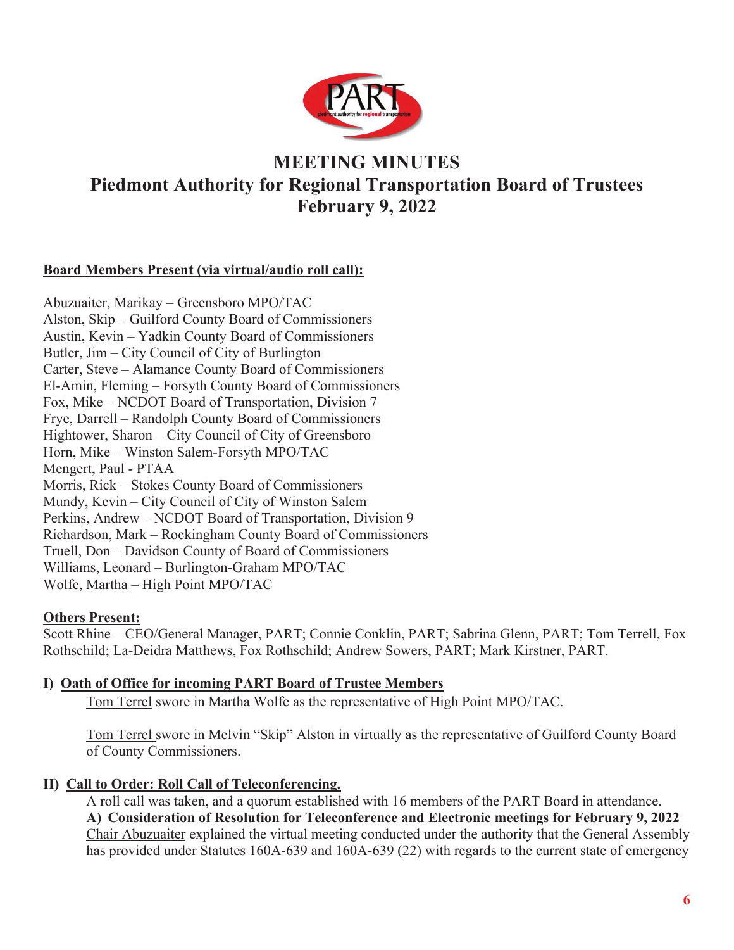

# **MEETING MINUTES Piedmont Authority for Regional Transportation Board of Trustees February 9, 2022**

# **Board Members Present (via virtual/audio roll call):**

Abuzuaiter, Marikay – Greensboro MPO/TAC Alston, Skip – Guilford County Board of Commissioners Austin, Kevin – Yadkin County Board of Commissioners Butler, Jim – City Council of City of Burlington Carter, Steve – Alamance County Board of Commissioners El-Amin, Fleming – Forsyth County Board of Commissioners Fox, Mike – NCDOT Board of Transportation, Division 7 Frye, Darrell – Randolph County Board of Commissioners Hightower, Sharon – City Council of City of Greensboro Horn, Mike – Winston Salem-Forsyth MPO/TAC Mengert, Paul - PTAA Morris, Rick – Stokes County Board of Commissioners Mundy, Kevin – City Council of City of Winston Salem Perkins, Andrew – NCDOT Board of Transportation, Division 9 Richardson, Mark – Rockingham County Board of Commissioners Truell, Don – Davidson County of Board of Commissioners Williams, Leonard – Burlington-Graham MPO/TAC Wolfe, Martha – High Point MPO/TAC

## **Others Present:**

Scott Rhine – CEO/General Manager, PART; Connie Conklin, PART; Sabrina Glenn, PART; Tom Terrell, Fox Rothschild; La-Deidra Matthews, Fox Rothschild; Andrew Sowers, PART; Mark Kirstner, PART.

## **I) Oath of Office for incoming PART Board of Trustee Members**

Tom Terrel swore in Martha Wolfe as the representative of High Point MPO/TAC.

Tom Terrel swore in Melvin "Skip" Alston in virtually as the representative of Guilford County Board of County Commissioners.

## **II) Call to Order: Roll Call of Teleconferencing.**

A roll call was taken, and a quorum established with 16 members of the PART Board in attendance. **A) Consideration of Resolution for Teleconference and Electronic meetings for February 9, 2022**  Chair Abuzuaiter explained the virtual meeting conducted under the authority that the General Assembly has provided under Statutes 160A-639 and 160A-639 (22) with regards to the current state of emergency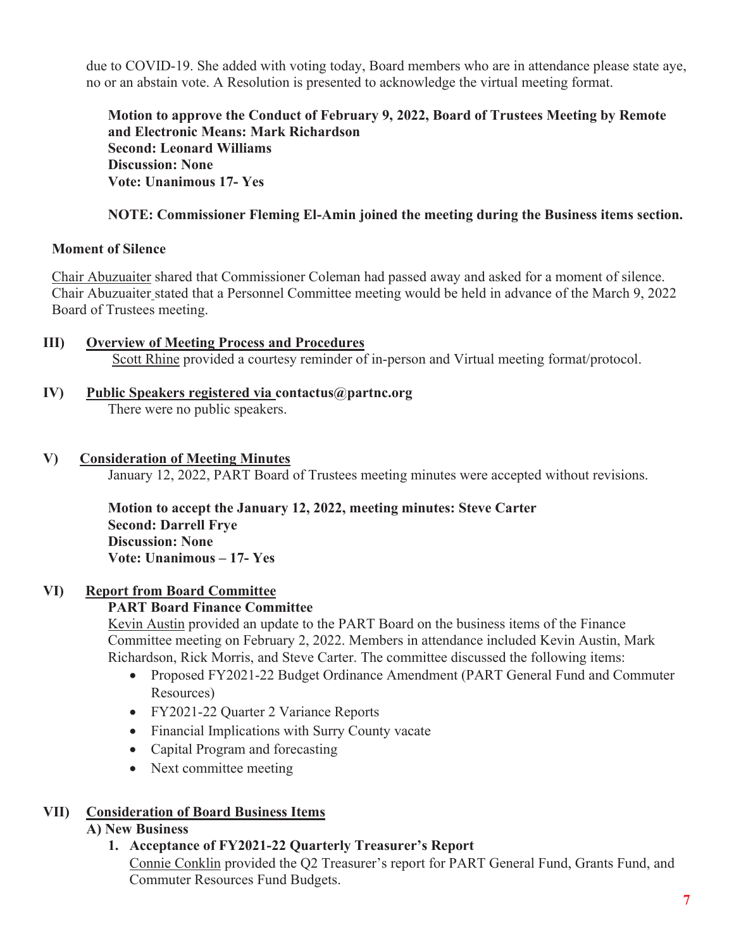due to COVID-19. She added with voting today, Board members who are in attendance please state aye, no or an abstain vote. A Resolution is presented to acknowledge the virtual meeting format.

**Motion to approve the Conduct of February 9, 2022, Board of Trustees Meeting by Remote and Electronic Means: Mark Richardson Second: Leonard Williams Discussion: None Vote: Unanimous 17- Yes** 

# **NOTE: Commissioner Fleming El-Amin joined the meeting during the Business items section.**

## **Moment of Silence**

Chair Abuzuaiter shared that Commissioner Coleman had passed away and asked for a moment of silence. Chair Abuzuaiter stated that a Personnel Committee meeting would be held in advance of the March 9, 2022 Board of Trustees meeting.

- **III) Overview of Meeting Process and Procedures**  Scott Rhine provided a courtesy reminder of in-person and Virtual meeting format/protocol.
- **IV) Public Speakers registered via contactus@partnc.org**  There were no public speakers.

#### **V) Consideration of Meeting Minutes**

January 12, 2022, PART Board of Trustees meeting minutes were accepted without revisions.

**Motion to accept the January 12, 2022, meeting minutes: Steve Carter Second: Darrell Frye Discussion: None Vote: Unanimous – 17- Yes** 

## **VI) Report from Board Committee**

## **PART Board Finance Committee**

Kevin Austin provided an update to the PART Board on the business items of the Finance Committee meeting on February 2, 2022. Members in attendance included Kevin Austin, Mark Richardson, Rick Morris, and Steve Carter. The committee discussed the following items:

- Proposed FY2021-22 Budget Ordinance Amendment (PART General Fund and Commuter Resources)
- FY2021-22 Quarter 2 Variance Reports
- Financial Implications with Surry County vacate
- Capital Program and forecasting
- Next committee meeting

# **VII) Consideration of Board Business Items**

## **A) New Business**

# **1. Acceptance of FY2021-22 Quarterly Treasurer's Report**

Connie Conklin provided the Q2 Treasurer's report for PART General Fund, Grants Fund, and Commuter Resources Fund Budgets.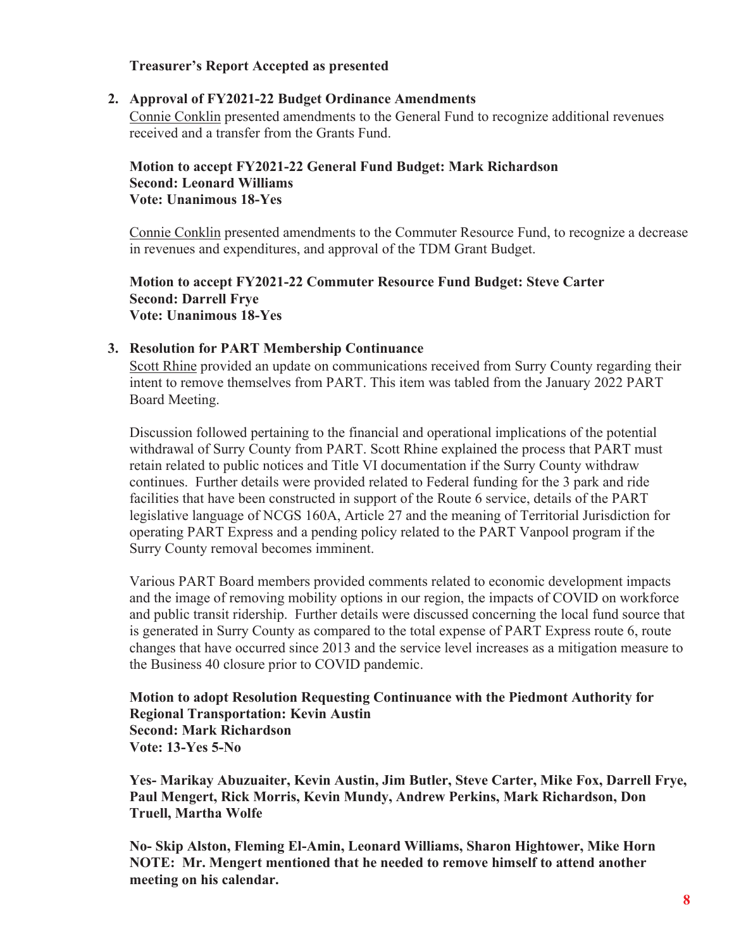#### **Treasurer's Report Accepted as presented**

#### **2. Approval of FY2021-22 Budget Ordinance Amendments**

Connie Conklin presented amendments to the General Fund to recognize additional revenues received and a transfer from the Grants Fund.

## **Motion to accept FY2021-22 General Fund Budget: Mark Richardson Second: Leonard Williams Vote: Unanimous 18-Yes**

Connie Conklin presented amendments to the Commuter Resource Fund, to recognize a decrease in revenues and expenditures, and approval of the TDM Grant Budget.

#### **Motion to accept FY2021-22 Commuter Resource Fund Budget: Steve Carter Second: Darrell Frye Vote: Unanimous 18-Yes**

#### **3. Resolution for PART Membership Continuance**

Scott Rhine provided an update on communications received from Surry County regarding their intent to remove themselves from PART. This item was tabled from the January 2022 PART Board Meeting.

Discussion followed pertaining to the financial and operational implications of the potential withdrawal of Surry County from PART. Scott Rhine explained the process that PART must retain related to public notices and Title VI documentation if the Surry County withdraw continues. Further details were provided related to Federal funding for the 3 park and ride facilities that have been constructed in support of the Route 6 service, details of the PART legislative language of NCGS 160A, Article 27 and the meaning of Territorial Jurisdiction for operating PART Express and a pending policy related to the PART Vanpool program if the Surry County removal becomes imminent.

Various PART Board members provided comments related to economic development impacts and the image of removing mobility options in our region, the impacts of COVID on workforce and public transit ridership. Further details were discussed concerning the local fund source that is generated in Surry County as compared to the total expense of PART Express route 6, route changes that have occurred since 2013 and the service level increases as a mitigation measure to the Business 40 closure prior to COVID pandemic.

## **Motion to adopt Resolution Requesting Continuance with the Piedmont Authority for Regional Transportation: Kevin Austin Second: Mark Richardson Vote: 13-Yes 5-No**

**Yes- Marikay Abuzuaiter, Kevin Austin, Jim Butler, Steve Carter, Mike Fox, Darrell Frye, Paul Mengert, Rick Morris, Kevin Mundy, Andrew Perkins, Mark Richardson, Don Truell, Martha Wolfe** 

**No- Skip Alston, Fleming El-Amin, Leonard Williams, Sharon Hightower, Mike Horn NOTE: Mr. Mengert mentioned that he needed to remove himself to attend another meeting on his calendar.**